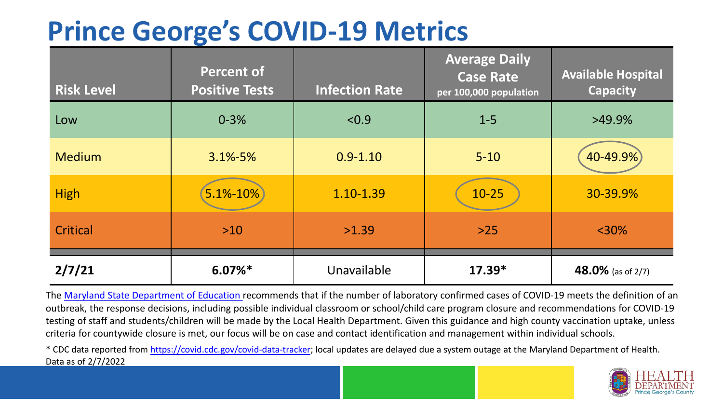## **Prince George's COVID-19 Metrics**

| <b>Risk Level</b> | <b>Percent of</b><br><b>Positive Tests</b> | <b>Infection Rate</b> | <b>Average Daily</b><br><b>Case Rate</b><br>per 100,000 population | <b>Available Hospital</b><br><b>Capacity</b> |
|-------------------|--------------------------------------------|-----------------------|--------------------------------------------------------------------|----------------------------------------------|
| Low               | $0 - 3%$                                   | < 0.9                 | $1 - 5$                                                            | $>49.9\%$                                    |
| <b>Medium</b>     | $3.1\% - 5\%$                              | $0.9 - 1.10$          | $5 - 10$                                                           | 40-49.9%                                     |
| <b>High</b>       | 5.1%-10%                                   | 1.10-1.39             | $10 - 25$                                                          | 30-39.9%                                     |
| Critical          | $>10$                                      | >1.39                 | $>25$                                                              | $<$ 30%                                      |
| 2/7/21            | $6.07\%$ *                                 | Unavailable           | $17.39*$                                                           | 48.0% (as of 2/7)                            |

The [Maryland State Department of Education](https://earlychildhood.marylandpublicschools.org/system/files/filedepot/3/covid_guidance_full_080420.pdf) recommends that if the number of laboratory confirmed cases of COVID-19 meets the definition of an outbreak, the response decisions, including possible individual classroom or school/child care program closure and recommendations for COVID-19 testing of staff and students/children will be made by the Local Health Department. Given this guidance and high county vaccination uptake, unless criteria for countywide closure is met, our focus will be on case and contact identification and management within individual schools.

\* CDC data reported from <https://covid.cdc.gov/covid-data-tracker>; local updates are delayed due a system outage at the Maryland Department of Health. Data as of 2/7/2022

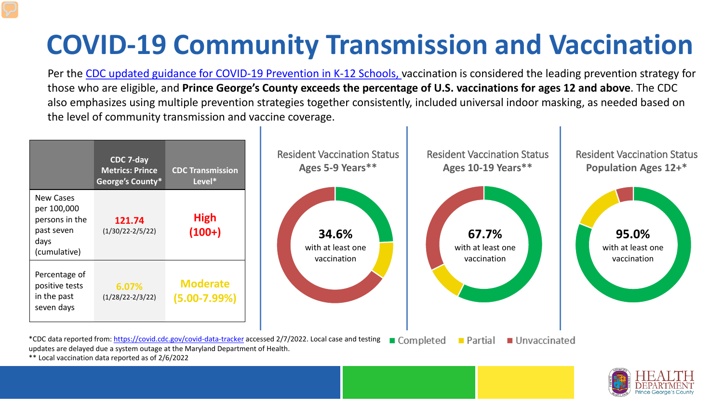## **COVID-19 Community Transmission and Vaccination**

Per the [CDC updated guidance for COVID-19 Prevention in K-12 Schools,](https://www.cdc.gov/coronavirus/2019-ncov/community/schools-childcare/k-12-guidance.html) vaccination is considered the leading prevention strategy for those who are eligible, and **Prince George's County exceeds the percentage of U.S. vaccinations for ages 12 and above**. The CDC also emphasizes using multiple prevention strategies together consistently, included universal indoor masking, as needed based on the level of community transmission and vaccine coverage.





\*\* Local vaccination data reported as of 2/6/2022